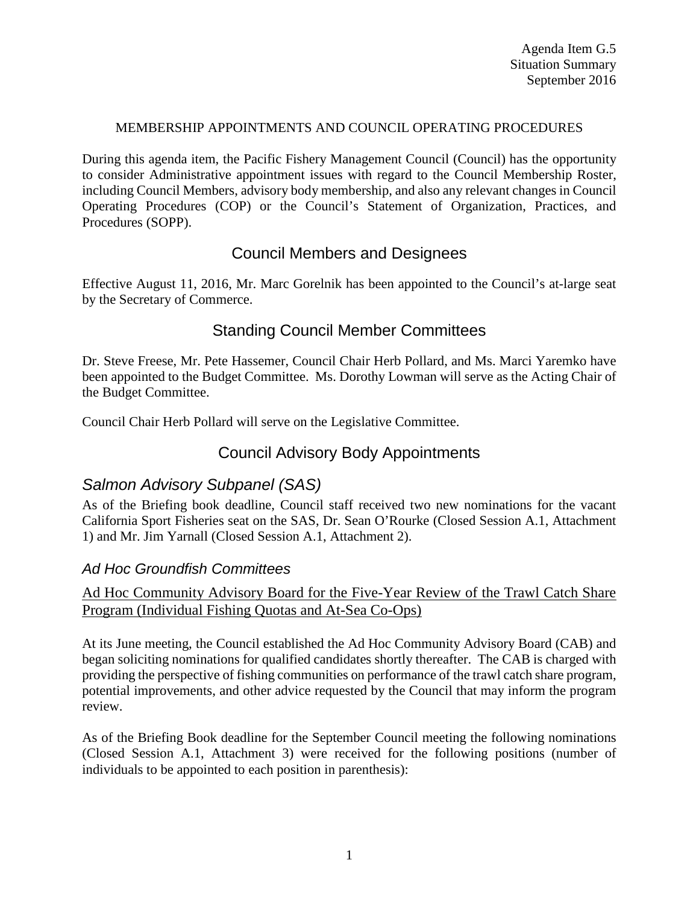### MEMBERSHIP APPOINTMENTS AND COUNCIL OPERATING PROCEDURES

During this agenda item, the Pacific Fishery Management Council (Council) has the opportunity to consider Administrative appointment issues with regard to the Council Membership Roster, including Council Members, advisory body membership, and also any relevant changes in Council Operating Procedures (COP) or the Council's Statement of Organization, Practices, and Procedures (SOPP).

# Council Members and Designees

Effective August 11, 2016, Mr. Marc Gorelnik has been appointed to the Council's at-large seat by the Secretary of Commerce.

# Standing Council Member Committees

Dr. Steve Freese, Mr. Pete Hassemer, Council Chair Herb Pollard, and Ms. Marci Yaremko have been appointed to the Budget Committee. Ms. Dorothy Lowman will serve as the Acting Chair of the Budget Committee.

Council Chair Herb Pollard will serve on the Legislative Committee.

## Council Advisory Body Appointments

# *Salmon Advisory Subpanel (SAS)*

As of the Briefing book deadline, Council staff received two new nominations for the vacant California Sport Fisheries seat on the SAS, Dr. Sean O'Rourke (Closed Session A.1, Attachment 1) and Mr. Jim Yarnall (Closed Session A.1, Attachment 2).

### *Ad Hoc Groundfish Committees*

## Ad Hoc Community Advisory Board for the Five-Year Review of the Trawl Catch Share Program (Individual Fishing Quotas and At-Sea Co-Ops)

At its June meeting, the Council established the Ad Hoc Community Advisory Board (CAB) and began soliciting nominations for qualified candidates shortly thereafter. The CAB is charged with providing the perspective of fishing communities on performance of the trawl catch share program, potential improvements, and other advice requested by the Council that may inform the program review.

As of the Briefing Book deadline for the September Council meeting the following nominations (Closed Session A.1, Attachment 3) were received for the following positions (number of individuals to be appointed to each position in parenthesis):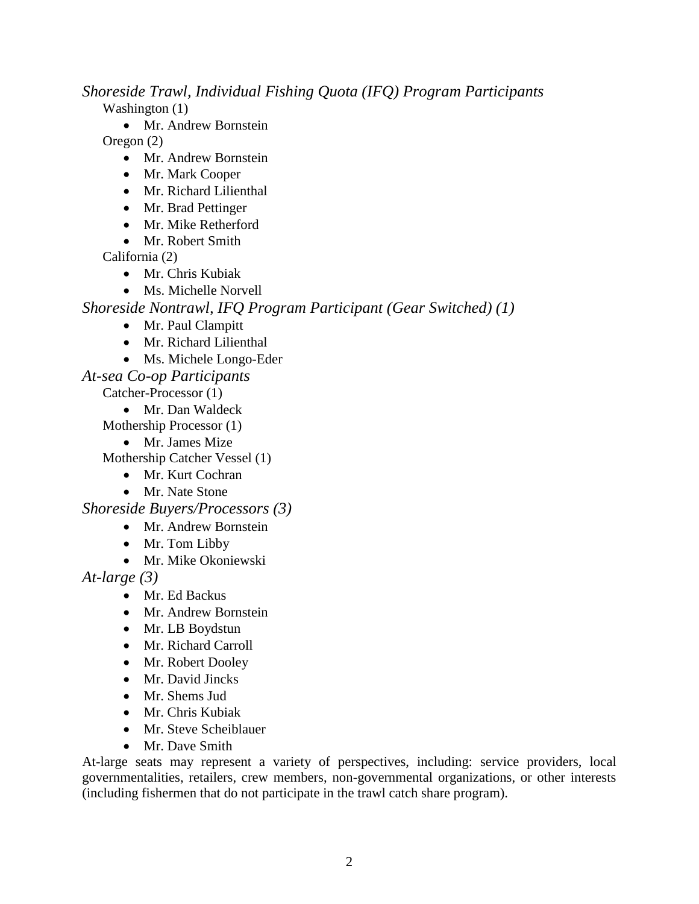*Shoreside Trawl, Individual Fishing Quota (IFQ) Program Participants*

Washington (1)

• Mr. Andrew Bornstein

Oregon (2)

- Mr. Andrew Bornstein
- Mr. Mark Cooper
- Mr. Richard Lilienthal
- Mr. Brad Pettinger
- Mr. Mike Retherford
- Mr. Robert Smith

California (2)

- Mr. Chris Kubiak
- Ms. Michelle Norvell

*Shoreside Nontrawl, IFQ Program Participant (Gear Switched) (1)*

- Mr. Paul Clampitt
- Mr. Richard Lilienthal
- Ms. Michele Longo-Eder
- *At-sea Co-op Participants*

Catcher-Processor (1)

• Mr. Dan Waldeck

Mothership Processor (1)

• Mr. James Mize

Mothership Catcher Vessel (1)

- Mr. Kurt Cochran
- Mr. Nate Stone

*Shoreside Buyers/Processors (3)*

- Mr. Andrew Bornstein
- Mr. Tom Libby
- Mr. Mike Okoniewski

*At-large (3)*

- Mr. Ed Backus
- Mr. Andrew Bornstein
- Mr. LB Boydstun
- Mr. Richard Carroll
- Mr. Robert Dooley
- Mr. David Jincks
- Mr. Shems Jud
- Mr. Chris Kubiak
- Mr. Steve Scheiblauer
- Mr. Dave Smith

At-large seats may represent a variety of perspectives, including: service providers, local governmentalities, retailers, crew members, non-governmental organizations, or other interests (including fishermen that do not participate in the trawl catch share program).